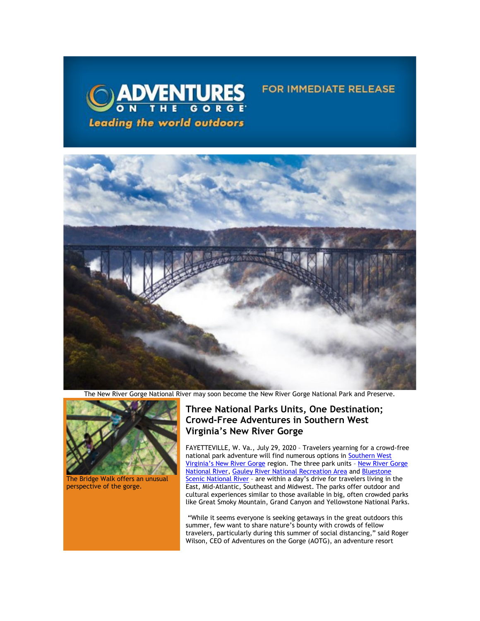

## **FOR IMMEDIATE RELEASE**



The New River Gorge National River may soon become the New River Gorge National Park and Preserve.



The Bridge Walk offers an unusual perspective of the gorge.

## **Three National Parks Units, One Destination; Crowd-Free Adventures in Southern West Virginia's New River Gorge**

FAYETTEVILLE, W. Va., July 29, 2020 – Travelers yearning for a crowd-free national park adventure will find numerous options in [Southern West](https://click.icptrack.com/icp/relay.php?r=13370550&msgid=458372&act=5AOA&c=1378153&destination=https%3A%2F%2Fvisitwv.com%2Fnpswv%2F&cf=13608&v=9464ddd362b30d2b8b4ab19534330e3c3825f6a4ece6d72cbb7099cd4733e0ef)  [Virginia's New River Gorge](https://click.icptrack.com/icp/relay.php?r=13370550&msgid=458372&act=5AOA&c=1378153&destination=https%3A%2F%2Fvisitwv.com%2Fnpswv%2F&cf=13608&v=9464ddd362b30d2b8b4ab19534330e3c3825f6a4ece6d72cbb7099cd4733e0ef) region. The three park units – [New River Gorge](https://click.icptrack.com/icp/relay.php?r=13370550&msgid=458372&act=5AOA&c=1378153&destination=http%3A%2F%2Fwww.nps.gov%2Fneri%2Findex.htm&cf=13608&v=041a6641d27b72510715d4094887b754b700c83c695a3c2954babc5184c371fc)  [National River,](https://click.icptrack.com/icp/relay.php?r=13370550&msgid=458372&act=5AOA&c=1378153&destination=http%3A%2F%2Fwww.nps.gov%2Fneri%2Findex.htm&cf=13608&v=041a6641d27b72510715d4094887b754b700c83c695a3c2954babc5184c371fc) [Gauley River National Recreation Area](https://click.icptrack.com/icp/relay.php?r=13370550&msgid=458372&act=5AOA&c=1378153&destination=http%3A%2F%2Fwww.nps.gov%2Fgari%2Findex.htm&cf=13608&v=bc32170d6fa9c8c248f0a16bd655a0901c0c06a019af6c0d4e0c1d8807f27540) and [Bluestone](https://click.icptrack.com/icp/relay.php?r=13370550&msgid=458372&act=5AOA&c=1378153&destination=http%3A%2F%2Fwww.nps.gov%2Fblue%2Findex.htm&cf=13608&v=9f8f13e1b51f070152bd2175e374ebd27a8f725e0d3215b73c65dd613554ff76)  [Scenic National River](https://click.icptrack.com/icp/relay.php?r=13370550&msgid=458372&act=5AOA&c=1378153&destination=http%3A%2F%2Fwww.nps.gov%2Fblue%2Findex.htm&cf=13608&v=9f8f13e1b51f070152bd2175e374ebd27a8f725e0d3215b73c65dd613554ff76) - are within a day's drive for travelers living in the East, Mid-Atlantic, Southeast and Midwest. The parks offer outdoor and cultural experiences similar to those available in big, often crowded parks like Great Smoky Mountain, Grand Canyon and Yellowstone National Parks.

"While it seems everyone is seeking getaways in the great outdoors this summer, few want to share nature's bounty with crowds of fellow travelers, particularly during this summer of social distancing," said Roger Wilson, CEO of Adventures on the Gorge (AOTG), an adventure resort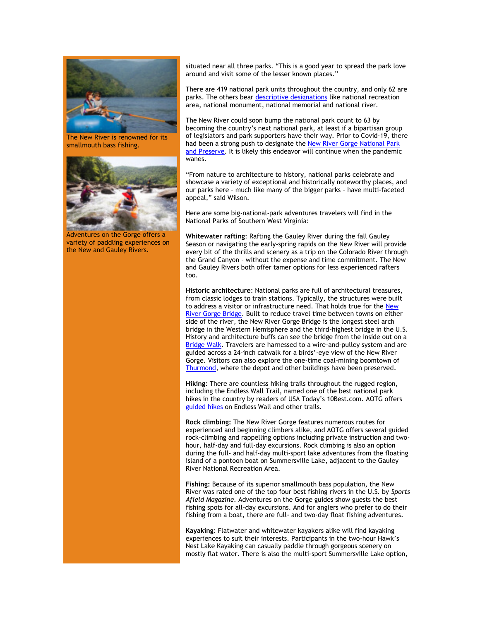

The New River is renowned for its smallmouth bass fishing.



Adventures on the Gorge offers a variety of paddling experiences on the New and Gauley Rivers.

situated near all three parks. "This is a good year to spread the park love around and visit some of the lesser known places."

There are 419 national park units throughout the country, and only 62 are parks. The others bear [descriptive designations](https://click.icptrack.com/icp/relay.php?r=13370550&msgid=458372&act=5AOA&c=1378153&destination=https%3A%2F%2Fwww.nps.gov%2Faboutus%2Fnational-park-system.htm&cf=13608&v=ab1eb493f57e0abdce545b45a9a152da8a18da650c268e94de2253a50e0abefc) like national recreation area, national monument, national memorial and national river.

The New River could soon bump the national park count to 63 by becoming the country's next national park, at least if a bipartisan group of legislators and park supporters have their way. Prior to Covid-19, there had been a strong push to designate th[e New River Gorge National Park](https://click.icptrack.com/icp/relay.php?r=13370550&msgid=458372&act=5AOA&c=1378153&destination=https%3A%2F%2Fwvrivers.org%2F2019%2F10%2Fnrgparkandpreserve%2F&cf=13608&v=c800e3e3eb99d82118017bb06c56ceb33130287abe5f7790a1b3470e76ea10f9)  [and Preserve.](https://click.icptrack.com/icp/relay.php?r=13370550&msgid=458372&act=5AOA&c=1378153&destination=https%3A%2F%2Fwvrivers.org%2F2019%2F10%2Fnrgparkandpreserve%2F&cf=13608&v=c800e3e3eb99d82118017bb06c56ceb33130287abe5f7790a1b3470e76ea10f9) It is likely this endeavor will continue when the pandemic wanes.

"From nature to architecture to history, national parks celebrate and showcase a variety of exceptional and historically noteworthy places, and our parks here – much like many of the bigger parks – have multi-faceted appeal," said Wilson.

Here are some big-national-park adventures travelers will find in the National Parks of Southern West Virginia:

**[Whitewater rafting](https://click.icptrack.com/icp/relay.php?r=13370550&msgid=458372&act=5AOA&c=1378153&destination=https%3A%2F%2Fwww.adventuresonthegorge.com%2Fadventures%2Fwhitewater-rafting&cf=13608&v=b4693a620132c6eb79638e990369ab511f7eb4dddc8972149b0659499412c79c)**: Rafting the Gauley River during the fall Gauley Season or navigating the early-spring rapids on the New River will provide every bit of the thrills and scenery as a trip on the Colorado River through the Grand Canyon – without the expense and time commitment. The New and Gauley Rivers both offer tamer options for less experienced rafters too.

**[Historic architecture](https://click.icptrack.com/icp/relay.php?r=13370550&msgid=458372&act=5AOA&c=1378153&destination=https%3A%2F%2Fwww.adventuresonthegorge.com%2Fadventures%2Fzip-line-aerial-adventures%2Fbridge-walk&cf=13608&v=3a847d204cc212e53b45da2dc14f0a1454fb6e9f4dc5ea0548d0bd6c51df18b1)**: National parks are full of architectural treasures, from classic lodges to train stations. Typically, the structures were built to address a visitor or infrastructure need. That holds true for the [New](https://click.icptrack.com/icp/relay.php?r=13370550&msgid=458372&act=5AOA&c=1378153&destination=https%3A%2F%2Fwww.nps.gov%2Fneri%2Fplanyourvisit%2Fnrgbridge.htm&cf=13608&v=a034c4976b7c84bbf6bdda94fa17be9e6f91b177bba767a4260c7b97f21f2137)  [River Gorge Bridge.](https://click.icptrack.com/icp/relay.php?r=13370550&msgid=458372&act=5AOA&c=1378153&destination=https%3A%2F%2Fwww.nps.gov%2Fneri%2Fplanyourvisit%2Fnrgbridge.htm&cf=13608&v=a034c4976b7c84bbf6bdda94fa17be9e6f91b177bba767a4260c7b97f21f2137) Built to reduce travel time between towns on either side of the river, the New River Gorge Bridge is the longest steel arch bridge in the Western Hemisphere and the third-highest bridge in the U.S. History and architecture buffs can see the bridge from the inside out on a [Bridge Walk.](https://click.icptrack.com/icp/relay.php?r=13370550&msgid=458372&act=5AOA&c=1378153&destination=https%3A%2F%2Fwww.adventuresonthegorge.com%2Fadventures%2Fzip-line-aerial-adventures%2Fbridge-walk&cf=13608&v=3a847d204cc212e53b45da2dc14f0a1454fb6e9f4dc5ea0548d0bd6c51df18b1) Travelers are harnessed to a wire-and-pulley system and are guided across a 24-inch catwalk for a birds'-eye view of the New River Gorge. Visitors can also explore the one-time coal-mining boomtown of [Thurmond,](https://click.icptrack.com/icp/relay.php?r=13370550&msgid=458372&act=5AOA&c=1378153&destination=https%3A%2F%2Fwww.nps.gov%2Fneri%2Flearn%2Fhistoryculture%2Fthurmond.htm&cf=13608&v=74a479ec7a37c41307ff5825b6713578a36679a5baabee11698941d357c547c4) where the depot and other buildings have been preserved.

**[Hiking](https://click.icptrack.com/icp/relay.php?r=13370550&msgid=458372&act=5AOA&c=1378153&destination=http%3A%2F%2Fwww.10best.com%2Fawards%2Ftravel%2Fbest-national-park-hike%2F&cf=13608&v=b6f0b1790b5f89ff06a0ebc22684b3c9bb4a1809adf74141de3f951bfb39aead)**: There are countless hiking trails throughout the rugged region, including the Endless Wall Trail, named one of the best national park hikes in the country by readers of USA Today's 10Best.com. AOTG offers [guided hikes](https://click.icptrack.com/icp/relay.php?r=13370550&msgid=458372&act=5AOA&c=1378153&destination=https%3A%2F%2Fadventuresonthegorge.com%2Fadventures%2F&cf=13608&v=5a8339ee7e159775c9c45019c75d78606952779c163f8d789770599396d733d0) on Endless Wall and other trails.

**[Rock climbing:](https://click.icptrack.com/icp/relay.php?r=13370550&msgid=458372&act=5AOA&c=1378153&destination=https%3A%2F%2Fwww.adventuresonthegorge.com%2Fadventures%2Fclimbing-rappelling&cf=13608&v=8d820e0a54a98862a2eec8bd5d54326d91d3c58f20896e7b6e9bbdc37f3d6483)** The New River Gorge features numerous routes for experienced and beginning climbers alike, and AOTG offers several guided rock-climbing and rappelling options including private instruction and twohour, half-day and full-day excursions. Rock climbing is also an option during the full- and half-day multi-sport lake adventures from the floating island of a pontoon boat on Summersville Lake, adjacent to the Gauley River National Recreation Area.

**[Fishing:](https://click.icptrack.com/icp/relay.php?r=13370550&msgid=458372&act=5AOA&c=1378153&destination=https%3A%2F%2Fwww.adventuresonthegorge.com%2Fadventures%2Ffishing&cf=13608&v=a04e080ca81cc45897bc5efd38a783ea7fc8aa399d871bcce9efbf932aa91a55)** Because of its superior smallmouth bass population, the New River was rated one of the top four best fishing rivers in the U.S. by *Sports Afield Magazine.* Adventures on the Gorge guides show guests the best fishing spots for all-day excursions. And for anglers who prefer to do their fishing from a boat, there are full- and two-day float fishing adventures.

**[Kayaking](https://click.icptrack.com/icp/relay.php?r=13370550&msgid=458372&act=5AOA&c=1378153&destination=https%3A%2F%2Fwww.adventuresonthegorge.com%2Fadventures%2Fkayaking&cf=13608&v=f2b645be4f1692fbb05c55ce067026393b14fd7b2b8d65765e0745ce24f3699f)**: Flatwater and whitewater kayakers alike will find kayaking experiences to suit their interests. Participants in the two-hour Hawk's Nest Lake Kayaking can casually paddle through gorgeous scenery on mostly flat water. There is also the multi-sport Summersville Lake option,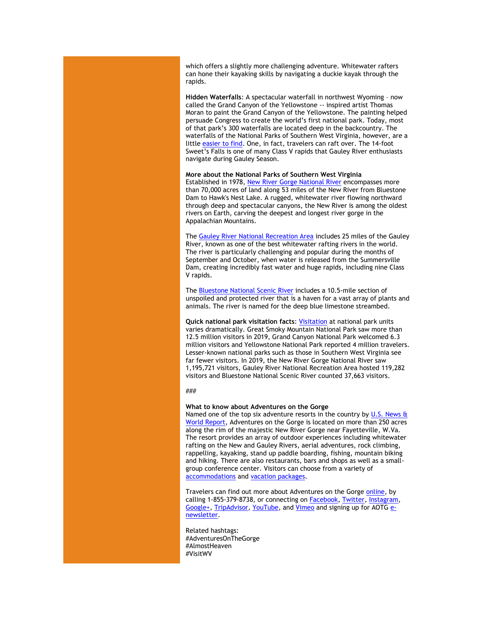which offers a slightly more challenging adventure. Whitewater rafters can hone their kayaking skills by navigating a duckie kayak through the rapids.

**[Hidden Waterfalls](https://click.icptrack.com/icp/relay.php?r=13370550&msgid=458372&act=5AOA&c=1378153&destination=http%3A%2F%2Fnationalparksofwv.com%2Fwv-waterfalls%2F&cf=13608&v=2512bea73264b5f1824879bc5bf405ff3df29c98243e8a0660e569f5a468928f)**: A spectacular waterfall in northwest Wyoming – now called the Grand Canyon of the Yellowstone -- inspired artist Thomas Moran to paint the Grand Canyon of the Yellowstone. The painting helped persuade Congress to create the world's first national park. Today, most of that park's 300 waterfalls are located deep in the backcountry. The waterfalls of the National Parks of Southern West Virginia, however, are a little [easier to find.](https://click.icptrack.com/icp/relay.php?r=13370550&msgid=458372&act=5AOA&c=1378153&destination=http%3A%2F%2Fnationalparksofwv.com%2Fwv-waterfalls%2F&cf=13608&v=2512bea73264b5f1824879bc5bf405ff3df29c98243e8a0660e569f5a468928f) One, in fact, travelers can raft over. The 14-foot Sweet's Falls is one of many Class V rapids that Gauley River enthusiasts navigate during Gauley Season.

## **More about the National Parks of Southern West Virginia**

Established in 1978[, New River Gorge National River](https://click.icptrack.com/icp/relay.php?r=13370550&msgid=458372&act=5AOA&c=1378153&destination=http%3A%2F%2Fwww.nps.gov%2Fneri%2Fa-river-runs-through-it.htm&cf=13608&v=75b37d8582bff2291d515d16476570bb40db95ce34a8dbd54f18d68eeb241b15) encompasses more than 70,000 acres of land along 53 miles of the New River from Bluestone Dam to Hawk's Nest Lake. A rugged, whitewater river flowing northward through deep and spectacular canyons, the New River is among the oldest rivers on Earth, carving the deepest and longest river gorge in the Appalachian Mountains.

The [Gauley River National Recreation Area](https://click.icptrack.com/icp/relay.php?r=13370550&msgid=458372&act=5AOA&c=1378153&destination=http%3A%2F%2Fwww.nps.gov%2Fgari%2Findex.htm&cf=13608&v=bc32170d6fa9c8c248f0a16bd655a0901c0c06a019af6c0d4e0c1d8807f27540) includes 25 miles of the Gauley River, known as one of the best whitewater rafting rivers in the world. The river is particularly challenging and popular during the months of September and October, when water is released from the Summersville Dam, creating incredibly fast water and huge rapids, including nine Class V rapids.

The [Bluestone National Scenic River](https://click.icptrack.com/icp/relay.php?r=13370550&msgid=458372&act=5AOA&c=1378153&destination=http%3A%2F%2Fwww.nps.gov%2Fblue%2Findex.htm&cf=13608&v=9f8f13e1b51f070152bd2175e374ebd27a8f725e0d3215b73c65dd613554ff76) includes a 10.5-mile section of unspoiled and protected river that is a haven for a vast array of plants and animals. The river is named for the deep blue limestone streambed.

**Quick national park visitation facts**[: Visitation](https://click.icptrack.com/icp/relay.php?r=13370550&msgid=458372&act=5AOA&c=1378153&destination=https%3A%2F%2Firma.nps.gov%2FSTATS%2F&cf=13608&v=e993c1afced74b11accda0dcedfab0bd27ffd43f405d7c26368111a2bcff4bd5) at national park units varies dramatically. Great Smoky Mountain National Park saw more than 12.5 million visitors in 2019, Grand Canyon National Park welcomed 6.3 million visitors and Yellowstone National Park reported 4 million travelers. Lesser-known national parks such as those in Southern West Virginia see far fewer visitors. In 2019, the New River Gorge National River saw 1,195,721 visitors, Gauley River National Recreation Area hosted 119,282 visitors and Bluestone National Scenic River counted 37,663 visitors.

###

## **What to know about Adventures on the Gorge**

Named one of the top six adventure resorts in the country by U.S. News & [World Report,](https://click.icptrack.com/icp/relay.php?r=13370550&msgid=458372&act=5AOA&c=1378153&destination=http%3A%2F%2Ftravel.usnews.com%2Fgallery%2Famericas-6-top-adventure-resorts&cf=13608&v=764bfdbe430f777c5bcc69b025c1a8805ca5cbb157f8c18454c411b272e07901) Adventures on the Gorge is located on more than 250 acres along the rim of the majestic New River Gorge near Fayetteville, W.Va. The resort provides an array of outdoor experiences including whitewater rafting on the New and Gauley Rivers, aerial adventures, rock climbing, rappelling, kayaking, stand up paddle boarding, fishing, mountain biking and hiking. There are also restaurants, bars and shops as well as a smallgroup conference center. Visitors can choose from a variety of [accommodations](https://click.icptrack.com/icp/relay.php?r=13370550&msgid=458372&act=5AOA&c=1378153&destination=https%3A%2F%2Fadventuresonthegorge.com%2Flodging%2F&cf=13608&v=a0a1ec07ee637c78242d3333295573a8e337130c936224b8e1d32f73fd9e88eb) an[d vacation packages.](https://click.icptrack.com/icp/relay.php?r=13370550&msgid=458372&act=5AOA&c=1378153&destination=https%3A%2F%2Fadventuresonthegorge.com%2Fpackages%2F&cf=13608&v=8751df1b896b42a43c8f638cff3537e1a0bec91ccd87a43021a073a818c593de)

Travelers can find out more about Adventures on the Gorge [online,](https://click.icptrack.com/icp/relay.php?r=13370550&msgid=458372&act=5AOA&c=1378153&destination=http%3A%2F%2Fwww.adventuresonthegorge.com%2F&cf=13608&v=5a6d29c5bd89500c6946838c97b8849561ebbd48dbb2fdae9fe0068cb3f8e60e) by calling 1-855-379-8738, or connecting on **Facebook**, [Twitter,](https://click.icptrack.com/icp/relay.php?r=13370550&msgid=458372&act=5AOA&c=1378153&destination=https%3A%2F%2Ftwitter.com%2Fonthegorge&cf=13608&v=44da65765a4741d2084650c093dae53617e5c7c92b9f6819d24521654e5f4fd3) [Instagram,](https://click.icptrack.com/icp/relay.php?r=13370550&msgid=458372&act=5AOA&c=1378153&destination=https%3A%2F%2Fwww.instagram.com%2Fonthegorge%2F&cf=13608&v=1ee16880632f1eb73eb9ad24dd989e2d12bd5a71d0cb5b3945f15e683acdaa9e) [Google+,](https://click.icptrack.com/icp/relay.php?r=13370550&msgid=458372&act=5AOA&c=1378153&destination=https%3A%2F%2Fplus.google.com%2F%2BAdventurewestvirginiaOnTheGorge%2Fposts&cf=13608&v=ef2665612b0c6b373f1f36a2b56fad2c6e569d53a114b963b76ab7480e59f65b) [TripAdvisor,](https://click.icptrack.com/icp/relay.php?r=13370550&msgid=458372&act=5AOA&c=1378153&destination=https%3A%2F%2Fwww.tripadvisor.com%2FAttraction_Review-g59234-d2233643-Reviews-Adventures_on_the_Gorge-Lansing_West_Virginia.html&cf=13608&v=812472f5ea0d5eed3fed4db26567b4c884479f53ef512c18d25b071271e965bc) [YouTube,](https://click.icptrack.com/icp/relay.php?r=13370550&msgid=458372&act=5AOA&c=1378153&destination=https%3A%2F%2Fwww.youtube.com%2Fuser%2FAdventuresOnTheGorge&cf=13608&v=7b71b3e994e129bfdca87c6523149b64faacb62e001d98eb26897d7c7236e8cc) and [Vimeo](https://click.icptrack.com/icp/relay.php?r=13370550&msgid=458372&act=5AOA&c=1378153&destination=https%3A%2F%2Fvimeo.com%2Fuser4260102&cf=13608&v=4ff82f41c6c552c9da3c61684889fad58e153a690bdb0b74761adab86ca752a0) and signing up for AOTG [e](https://click.icptrack.com/icp/relay.php?r=13370550&msgid=458372&act=5AOA&c=1378153&destination=https%3A%2F%2Fadventuresonthegorge.com%2F&cf=13608&v=a83cd0882452dd5ad1794082623f8c176d7586c5f6015a054a1c7b875f219550)[newsletter.](https://click.icptrack.com/icp/relay.php?r=13370550&msgid=458372&act=5AOA&c=1378153&destination=https%3A%2F%2Fadventuresonthegorge.com%2F&cf=13608&v=a83cd0882452dd5ad1794082623f8c176d7586c5f6015a054a1c7b875f219550)

Related hashtags: #AdventuresOnTheGorge #AlmostHeaven #VisitWV